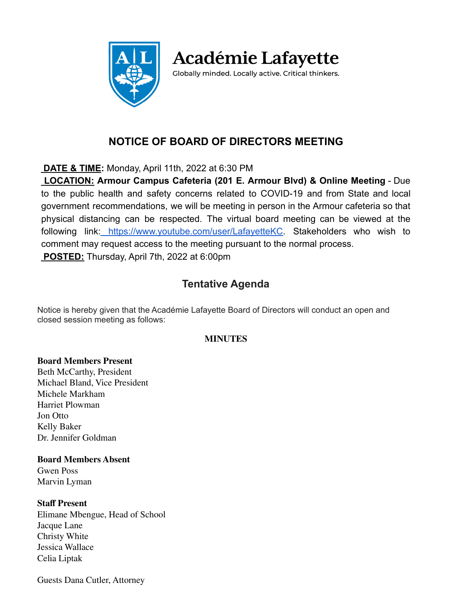

**Académie Lafayette** 

Globally minded. Locally active. Critical thinkers.

# **NOTICE OF BOARD OF DIRECTORS MEETING**

**DATE & TIME:** Monday, April 11th, 2022 at 6:30 PM

**LOCATION: Armour Campus Cafeteria (201 E. Armour Blvd) & Online Meeting** - Due to the public health and safety concerns related to COVID-19 and from State and local government recommendations, we will be meeting in person in the Armour cafeteria so that physical distancing can be respected. The virtual board meeting can be viewed at the following link: [https://www.youtube.com/user/LafayetteKC.](https://www.youtube.com/user/LafayetteKC) Stakeholders who wish to comment may request access to the meeting pursuant to the normal process. **POSTED:** Thursday, April 7th, 2022 at 6:00pm

## **Tentative Agenda**

Notice is hereby given that the Académie Lafayette Board of Directors will conduct an open and closed session meeting as follows:

## **MINUTES**

## **Board Members Present**

Beth McCarthy, President Michael Bland, Vice President Michele Markham Harriet Plowman Jon Otto Kelly Baker Dr. Jennifer Goldman

#### **Board Members Absent**

Gwen Poss Marvin Lyman

## **Staff Present**

Elimane Mbengue, Head of School Jacque Lane Christy White Jessica Wallace Celia Liptak

Guests Dana Cutler, Attorney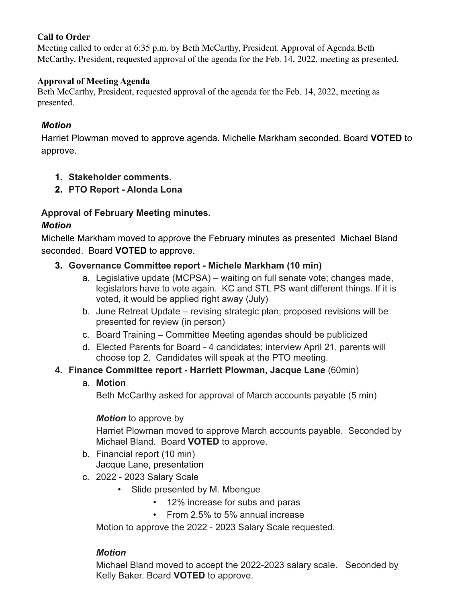#### **Call to Order**

Meeting called to order at 6:35 p.m. by Beth McCarthy, President. Approval of Agenda Beth McCarthy, President, requested approval of the agenda for the Feb. 14, 2022, meeting as presented.

#### **Approval of Meeting Agenda**

Beth McCarthy, President, requested approval of the agenda for the Feb. 14, 2022, meeting as presented.

## *Motion*

Harriet Plowman moved to approve agenda. Michelle Markham seconded. Board **VOTED** to approve.

- **1. Stakeholder comments.**
- **2. PTO Report Alonda Lona**

## **Approval of February Meeting minutes.**

## *Motion*

Michelle Markham moved to approve the February minutes as presented Michael Bland seconded. Board **VOTED** to approve.

## **3. Governance Committee report - Michele Markham (10 min)**

- a. Legislative update (MCPSA) waiting on full senate vote; changes made, legislators have to vote again. KC and STL PS want different things. If it is voted, it would be applied right away (July)
- b. June Retreat Update revising strategic plan; proposed revisions will be presented for review (in person)
- c. Board Training Committee Meeting agendas should be publicized
- d. Elected Parents for Board 4 candidates; interview April 21, parents will choose top 2. Candidates will speak at the PTO meeting.

## **4. Finance Committee report - Harriett Plowman, Jacque Lane** (60min)

#### a. **Motion**

Beth McCarthy asked for approval of March accounts payable (5 min)

#### *Motion* to approve by

Harriet Plowman moved to approve March accounts payable. Seconded by Michael Bland. Board **VOTED** to approve.

- b. Financial report (10 min) Jacque Lane, presentation
- c. 2022 2023 Salary Scale
	- Slide presented by M. Mbengue
		- 12% increase for subs and paras
		- From 2.5% to 5% annual increase

Motion to approve the 2022 - 2023 Salary Scale requested.

## *Motion*

Michael Bland moved to accept the 2022-2023 salary scale. Seconded by Kelly Baker. Board **VOTED** to approve.